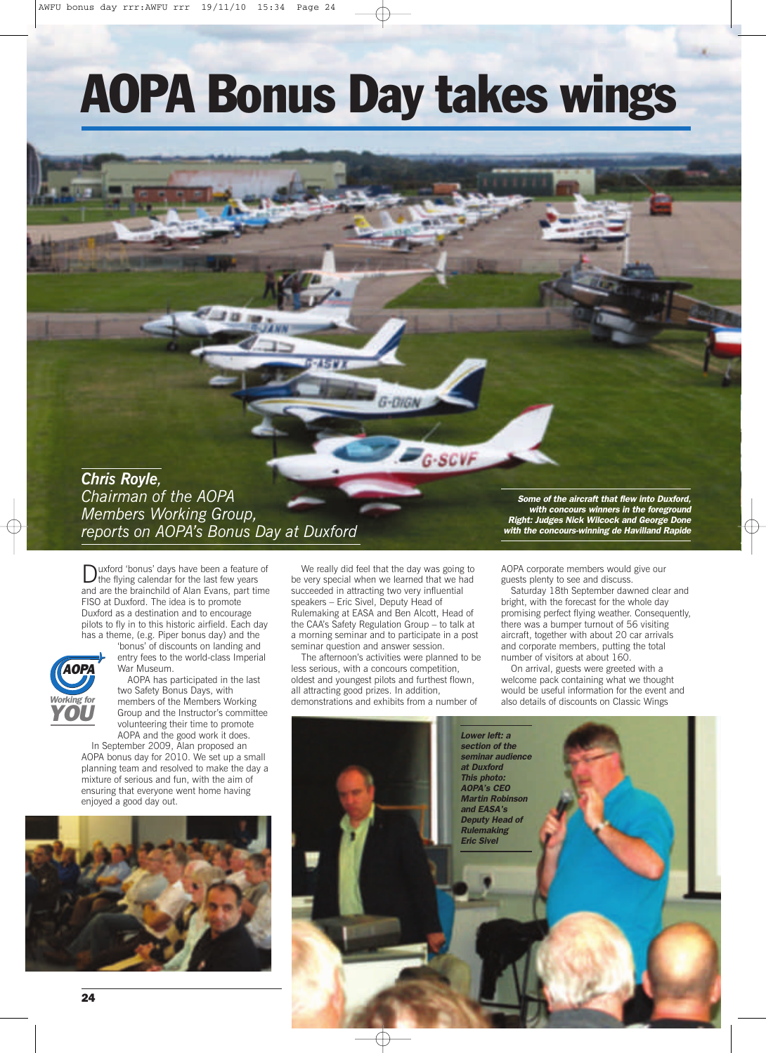# **AOPA Bonus Day takes wings**

# G-DIGA **G-SCVF** *Chris Royle, Chairman of the AOPA Some of the aircraft that flew into Duxford, Members Working Group, with concours winners in the foreground Right: Judges Nick Wilcock and George Done reports on AOPA's Bonus Day at Duxford*

Duxford 'bonus' days have been <sup>a</sup> feature of the flying calendar for the last few years and are the brainchild of Alan Evans, part time FISO at Duxford. The idea is to promote Duxford as a destination and to encourage pilots to fly in to this historic airfield. Each day has a theme, (e.g. Piper bonus day) and the



'bonus' of discounts on landing and entry fees to the world-class Imperial War Museum.

AOPA has participated in the last two Safety Bonus Days, with members of the Members Working Group and the Instructor's committee volunteering their time to promote AOPA and the good work it does.

In September 2009, Alan proposed an AOPA bonus day for 2010. We set up a small planning team and resolved to make the day a mixture of serious and fun, with the aim of ensuring that everyone went home having enjoyed a good day out.



We really did feel that the day was going to be very special when we learned that we had succeeded in attracting two very influential speakers – Eric Sivel, Deputy Head of Rulemaking at EASA and Ben Alcott, Head of the CAA's Safety Regulation Group – to talk at a morning seminar and to participate in a post seminar question and answer session.

The afternoon's activities were planned to be less serious, with a concours competition, oldest and youngest pilots and furthest flown, all attracting good prizes. In addition, demonstrations and exhibits from a number of

*the concours-winning de Havilland Rap* 

AOPA corporate members would give our guests plenty to see and discuss.

Saturday 18th September dawned clear and bright, with the forecast for the whole day promising perfect flying weather. Consequently, there was a bumper turnout of 56 visiting aircraft, together with about 20 car arrivals and corporate members, putting the total number of visitors at about 160.

On arrival, guests were greeted with a welcome pack containing what we thought would be useful information for the event and also details of discounts on Classic Wings